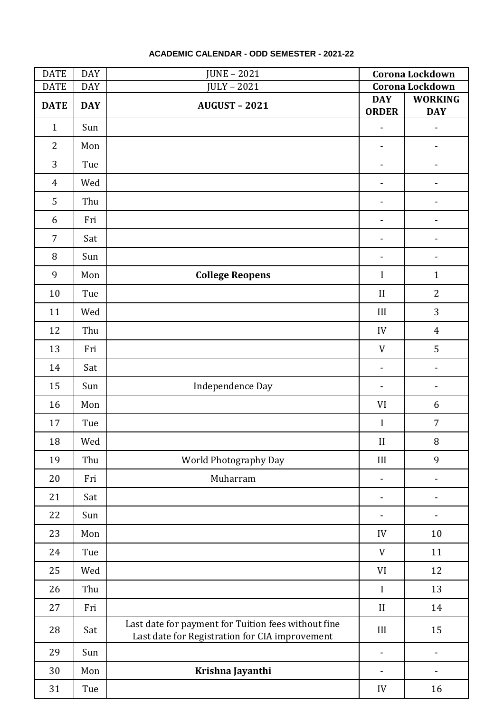| <b>DATE</b>    | <b>DAY</b> | <b>JUNE - 2021</b>                                                                                    | Corona Lockdown            |                              |
|----------------|------------|-------------------------------------------------------------------------------------------------------|----------------------------|------------------------------|
| <b>DATE</b>    | <b>DAY</b> | <b>JULY - 2021</b>                                                                                    | Corona Lockdown            |                              |
| <b>DATE</b>    | <b>DAY</b> | <b>AUGUST - 2021</b>                                                                                  | <b>DAY</b><br><b>ORDER</b> | <b>WORKING</b><br><b>DAY</b> |
| $\mathbf{1}$   | Sun        |                                                                                                       |                            |                              |
| $\overline{2}$ | Mon        |                                                                                                       | $\overline{\phantom{a}}$   |                              |
| 3              | Tue        |                                                                                                       |                            |                              |
| $\overline{4}$ | Wed        |                                                                                                       |                            |                              |
| 5              | Thu        |                                                                                                       | $\blacksquare$             | $\qquad \qquad \blacksquare$ |
| 6              | Fri        |                                                                                                       |                            | -                            |
| $\overline{7}$ | Sat        |                                                                                                       |                            |                              |
| 8              | Sun        |                                                                                                       |                            |                              |
| 9              | Mon        | <b>College Reopens</b>                                                                                | $\mathbf I$                | $\mathbf{1}$                 |
| 10             | Tue        |                                                                                                       | $\mathbf{I}$               | $\overline{2}$               |
| 11             | Wed        |                                                                                                       | III                        | 3                            |
| 12             | Thu        |                                                                                                       | IV                         | $\overline{4}$               |
| 13             | Fri        |                                                                                                       | V                          | 5                            |
| 14             | Sat        |                                                                                                       |                            |                              |
| 15             | Sun        | Independence Day                                                                                      |                            |                              |
| 16             | Mon        |                                                                                                       | VI                         | 6                            |
| 17             | Tue        |                                                                                                       | $\mathbf I$                | $\overline{7}$               |
| 18             | Wed        |                                                                                                       | II                         | $\, 8$                       |
| 19             | Thu        | World Photography Day                                                                                 | III                        | 9                            |
| 20             | Fri        | Muharram                                                                                              |                            | -                            |
| 21             | Sat        |                                                                                                       | $\overline{\phantom{a}}$   |                              |
| 22             | Sun        |                                                                                                       |                            |                              |
| 23             | Mon        |                                                                                                       | IV                         | 10                           |
| 24             | Tue        |                                                                                                       | V                          | 11                           |
| 25             | Wed        |                                                                                                       | VI                         | 12                           |
| 26             | Thu        |                                                                                                       | $\mathbf I$                | 13                           |
| 27             | Fri        |                                                                                                       | $\mathbf{I}$               | 14                           |
| 28             | Sat        | Last date for payment for Tuition fees without fine<br>Last date for Registration for CIA improvement | III                        | 15                           |
| 29             | Sun        |                                                                                                       | $\overline{\phantom{a}}$   | $\overline{\phantom{0}}$     |
| 30             | Mon        | Krishna Jayanthi                                                                                      | $\overline{\phantom{a}}$   | -                            |
| 31             | Tue        |                                                                                                       | IV                         | 16                           |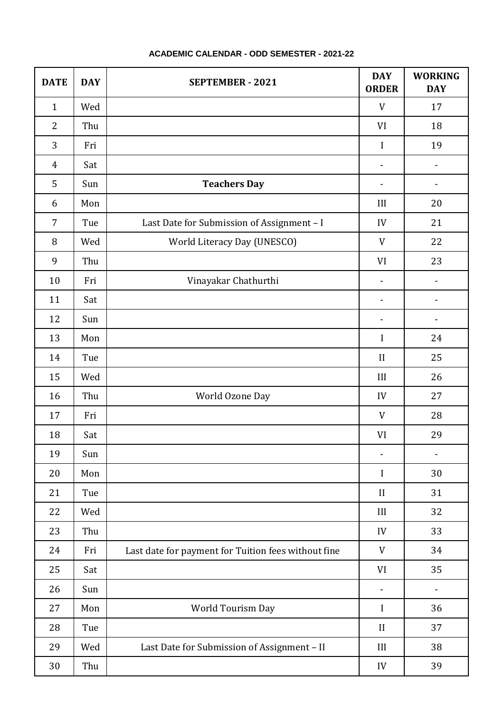| <b>DATE</b>    | <b>DAY</b> | <b>SEPTEMBER - 2021</b>                             | <b>DAY</b><br><b>ORDER</b> | <b>WORKING</b><br><b>DAY</b> |
|----------------|------------|-----------------------------------------------------|----------------------------|------------------------------|
| $\mathbf{1}$   | Wed        |                                                     | V                          | 17                           |
| $\overline{2}$ | Thu        |                                                     | VI                         | 18                           |
| 3              | Fri        |                                                     | $\mathbf I$                | 19                           |
| 4              | Sat        |                                                     | $\overline{\phantom{a}}$   | -                            |
| 5              | Sun        | <b>Teachers Day</b>                                 | $\overline{\phantom{a}}$   | -                            |
| 6              | Mon        |                                                     | III                        | 20                           |
| $\overline{7}$ | Tue        | Last Date for Submission of Assignment - I          | IV                         | 21                           |
| 8              | Wed        | World Literacy Day (UNESCO)                         | $\ensuremath{\text{V}}$    | 22                           |
| 9              | Thu        |                                                     | VI                         | 23                           |
| 10             | Fri        | Vinayakar Chathurthi                                | $\overline{\phantom{a}}$   |                              |
| 11             | Sat        |                                                     |                            |                              |
| 12             | Sun        |                                                     |                            | $\overline{a}$               |
| 13             | Mon        |                                                     | $\mathbf I$                | 24                           |
| 14             | Tue        |                                                     | $\mathbf{I}$               | 25                           |
| 15             | Wed        |                                                     | III                        | 26                           |
| 16             | Thu        | World Ozone Day                                     | IV                         | 27                           |
| 17             | Fri        |                                                     | $\ensuremath{\text{V}}$    | 28                           |
| 18             | Sat        |                                                     | VI                         | 29                           |
| 19             | Sun        |                                                     |                            | -                            |
| 20             | Mon        |                                                     | I                          | 30                           |
| 21             | Tue        |                                                     | $\mathbf{I}$               | 31                           |
| 22             | Wed        |                                                     | III                        | 32                           |
| 23             | Thu        |                                                     | IV                         | 33                           |
| 24             | Fri        | Last date for payment for Tuition fees without fine | $\ensuremath{\text{V}}$    | 34                           |
| 25             | Sat        |                                                     | VI                         | 35                           |
| 26             | Sun        |                                                     |                            | -                            |
| 27             | Mon        | World Tourism Day                                   | $\bf{I}$                   | 36                           |
| 28             | Tue        |                                                     | $\mathbf{I}$               | 37                           |
| 29             | Wed        | Last Date for Submission of Assignment - II         | III                        | 38                           |
| 30             | Thu        |                                                     | IV                         | 39                           |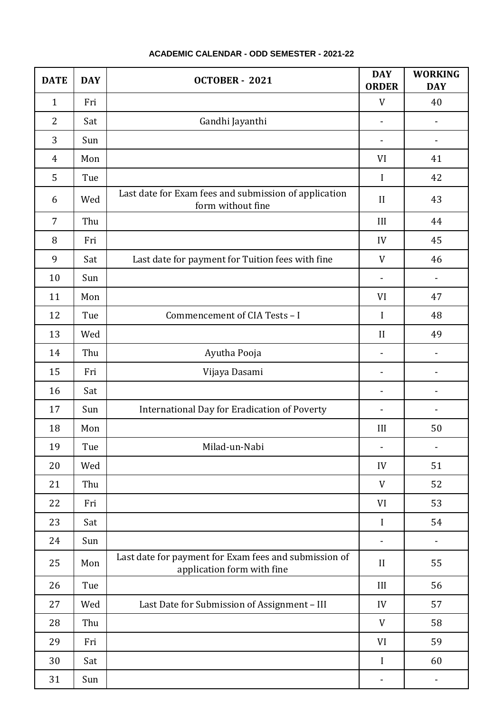| <b>DATE</b>    | <b>DAY</b> | OCTOBER - 2021                                                                      | <b>DAY</b><br><b>ORDER</b> | <b>WORKING</b><br><b>DAY</b> |
|----------------|------------|-------------------------------------------------------------------------------------|----------------------------|------------------------------|
| $\mathbf{1}$   | Fri        |                                                                                     | V                          | 40                           |
| $\overline{2}$ | Sat        | Gandhi Jayanthi                                                                     |                            | -                            |
| 3              | Sun        |                                                                                     |                            | -                            |
| 4              | Mon        |                                                                                     | VI                         | 41                           |
| 5              | Tue        |                                                                                     | I                          | 42                           |
| 6              | Wed        | Last date for Exam fees and submission of application<br>form without fine          | $\mathbf{I}$               | 43                           |
| $\overline{7}$ | Thu        |                                                                                     | III                        | 44                           |
| 8              | Fri        |                                                                                     | IV                         | 45                           |
| 9              | Sat        | Last date for payment for Tuition fees with fine                                    | V                          | 46                           |
| 10             | Sun        |                                                                                     |                            |                              |
| 11             | Mon        |                                                                                     | VI                         | 47                           |
| 12             | Tue        | Commencement of CIA Tests - I                                                       | $\mathbf I$                | 48                           |
| 13             | Wed        |                                                                                     | $\mathbf{I}$               | 49                           |
| 14             | Thu        | Ayutha Pooja                                                                        |                            |                              |
| 15             | Fri        | Vijaya Dasami                                                                       |                            |                              |
| 16             | Sat        |                                                                                     |                            |                              |
| 17             | Sun        | International Day for Eradication of Poverty                                        |                            |                              |
| 18             | Mon        |                                                                                     | III                        | 50                           |
| 19             | Tue        | Milad-un-Nabi                                                                       | $\overline{\phantom{a}}$   | $\overline{\phantom{0}}$     |
| 20             | Wed        |                                                                                     | IV                         | 51                           |
| 21             | Thu        |                                                                                     | V                          | 52                           |
| 22             | Fri        |                                                                                     | VI                         | 53                           |
| 23             | Sat        |                                                                                     | $\bf{I}$                   | 54                           |
| 24             | Sun        |                                                                                     |                            | -                            |
| 25             | Mon        | Last date for payment for Exam fees and submission of<br>application form with fine | $\mathbf{I}$               | 55                           |
| 26             | Tue        |                                                                                     | III                        | 56                           |
| 27             | Wed        | Last Date for Submission of Assignment - III                                        | IV                         | 57                           |
| 28             | Thu        |                                                                                     | V                          | 58                           |
| 29             | Fri        |                                                                                     | VI                         | 59                           |
| 30             | Sat        |                                                                                     | $\mathbf I$                | 60                           |
| 31             | Sun        |                                                                                     |                            |                              |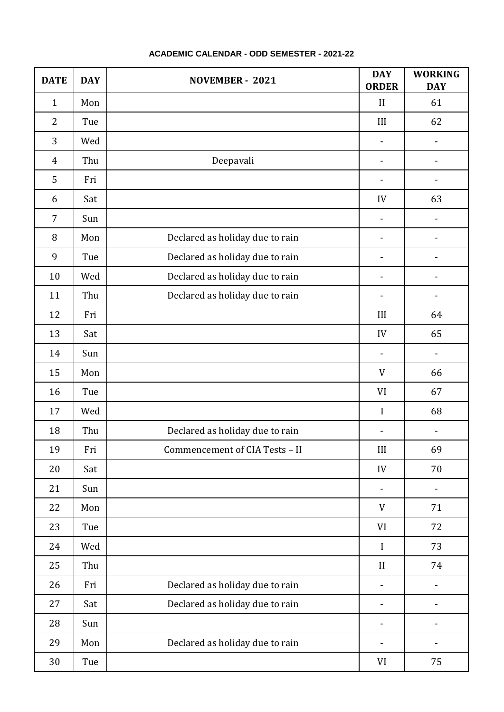| <b>DATE</b>    | <b>DAY</b> | NOVEMBER - 2021                 | <b>DAY</b><br><b>ORDER</b> | <b>WORKING</b><br><b>DAY</b> |
|----------------|------------|---------------------------------|----------------------------|------------------------------|
| $\mathbf{1}$   | Mon        |                                 | $\mathbf{I}$               | 61                           |
| $\overline{2}$ | Tue        |                                 | III                        | 62                           |
| 3              | Wed        |                                 |                            | -                            |
| $\overline{4}$ | Thu        | Deepavali                       | $\overline{\phantom{a}}$   |                              |
| 5              | Fri        |                                 | $\overline{\phantom{a}}$   |                              |
| 6              | Sat        |                                 | IV                         | 63                           |
| 7              | Sun        |                                 |                            |                              |
| 8              | Mon        | Declared as holiday due to rain |                            |                              |
| 9              | Tue        | Declared as holiday due to rain |                            |                              |
| 10             | Wed        | Declared as holiday due to rain |                            |                              |
| 11             | Thu        | Declared as holiday due to rain |                            | $\qquad \qquad \blacksquare$ |
| 12             | Fri        |                                 | III                        | 64                           |
| 13             | Sat        |                                 | IV                         | 65                           |
| 14             | Sun        |                                 |                            | $\qquad \qquad \blacksquare$ |
| 15             | Mon        |                                 | $\ensuremath{\text{V}}$    | 66                           |
| 16             | Tue        |                                 | VI                         | 67                           |
| 17             | Wed        |                                 | $\mathbf I$                | 68                           |
| 18             | Thu        | Declared as holiday due to rain |                            |                              |
| 19             | Fri        | Commencement of CIA Tests - II  | $\rm III$                  | 69                           |
| 20             | Sat        |                                 | IV                         | 70                           |
| 21             | Sun        |                                 | $\overline{\phantom{a}}$   | -                            |
| 22             | Mon        |                                 | V                          | 71                           |
| 23             | Tue        |                                 | VI                         | 72                           |
| 24             | Wed        |                                 | $\mathbf I$                | 73                           |
| 25             | Thu        |                                 | $\mathbf{I}$               | 74                           |
| 26             | Fri        | Declared as holiday due to rain | $\overline{\phantom{a}}$   | $\qquad \qquad \blacksquare$ |
| 27             | Sat        | Declared as holiday due to rain | $\overline{\phantom{a}}$   | $\qquad \qquad \blacksquare$ |
| 28             | Sun        |                                 | $\overline{\phantom{a}}$   | $\qquad \qquad \blacksquare$ |
| 29             | Mon        | Declared as holiday due to rain | $\blacksquare$             | -                            |
| 30             | Tue        |                                 | VI                         | 75                           |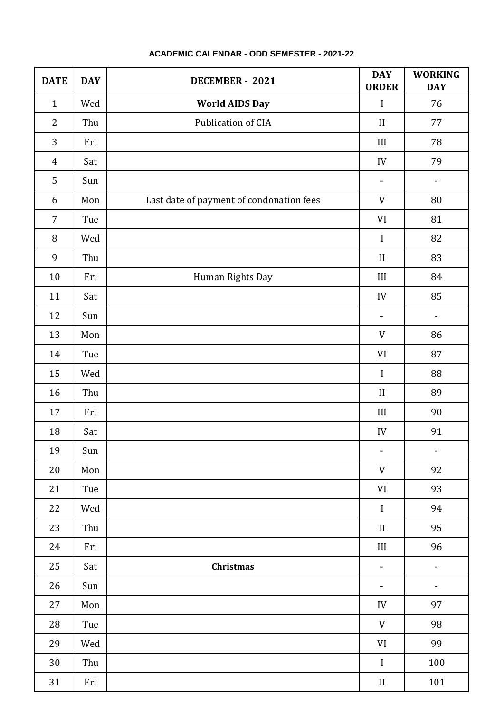| <b>DATE</b>    | <b>DAY</b> | DECEMBER - 2021                          | <b>DAY</b><br><b>ORDER</b>      | <b>WORKING</b><br><b>DAY</b> |
|----------------|------------|------------------------------------------|---------------------------------|------------------------------|
| $\mathbf{1}$   | Wed        | <b>World AIDS Day</b>                    | $\mathbf I$                     | 76                           |
| $\overline{2}$ | Thu        | Publication of CIA                       | $\prod$                         | 77                           |
| 3              | Fri        |                                          | III                             | 78                           |
| $\overline{4}$ | Sat        |                                          | IV                              | 79                           |
| 5              | Sun        |                                          |                                 | $\overline{\phantom{0}}$     |
| 6              | Mon        | Last date of payment of condonation fees | $\ensuremath{\text{V}}$         | 80                           |
| $\overline{7}$ | Tue        |                                          | VI                              | 81                           |
| $\, 8$         | Wed        |                                          | $\mathbf I$                     | 82                           |
| 9              | Thu        |                                          | $\rm II$                        | 83                           |
| 10             | Fri        | Human Rights Day                         | $\coprod$                       | 84                           |
| 11             | Sat        |                                          | IV                              | 85                           |
| 12             | Sun        |                                          | $\qquad \qquad \blacksquare$    | $\qquad \qquad \blacksquare$ |
| 13             | Mon        |                                          | V                               | 86                           |
| 14             | Tue        |                                          | VI                              | 87                           |
| 15             | Wed        |                                          | $\mathbf I$                     | 88                           |
| 16             | Thu        |                                          | $\rm II$                        | 89                           |
| 17             | Fri        |                                          | $\coprod$                       | 90                           |
| 18             | Sat        |                                          | IV                              | 91                           |
| 19             | Sun        |                                          | $\overline{\phantom{a}}$        | $\overline{\phantom{a}}$     |
| 20             | Mon        |                                          | $\mathbf V$                     | 92                           |
| 21             | Tue        |                                          | $\ensuremath{\text{VI}}\xspace$ | 93                           |
| 22             | Wed        |                                          | $\bf I$                         | 94                           |
| 23             | Thu        |                                          | $\rm II$                        | 95                           |
| 24             | Fri        |                                          | $\rm III$                       | 96                           |
| 25             | Sat        | Christmas                                | $\overline{\phantom{a}}$        | $\overline{\phantom{0}}$     |
| 26             | Sun        |                                          | ۰.                              | -                            |
| 27             | Mon        |                                          | IV                              | 97                           |
| 28             | Tue        |                                          | V                               | 98                           |
| 29             | Wed        |                                          | VI                              | 99                           |
| 30             | Thu        |                                          | $\bf I$                         | $100\,$                      |
| 31             | Fri        |                                          | $\rm II$                        | $101\,$                      |